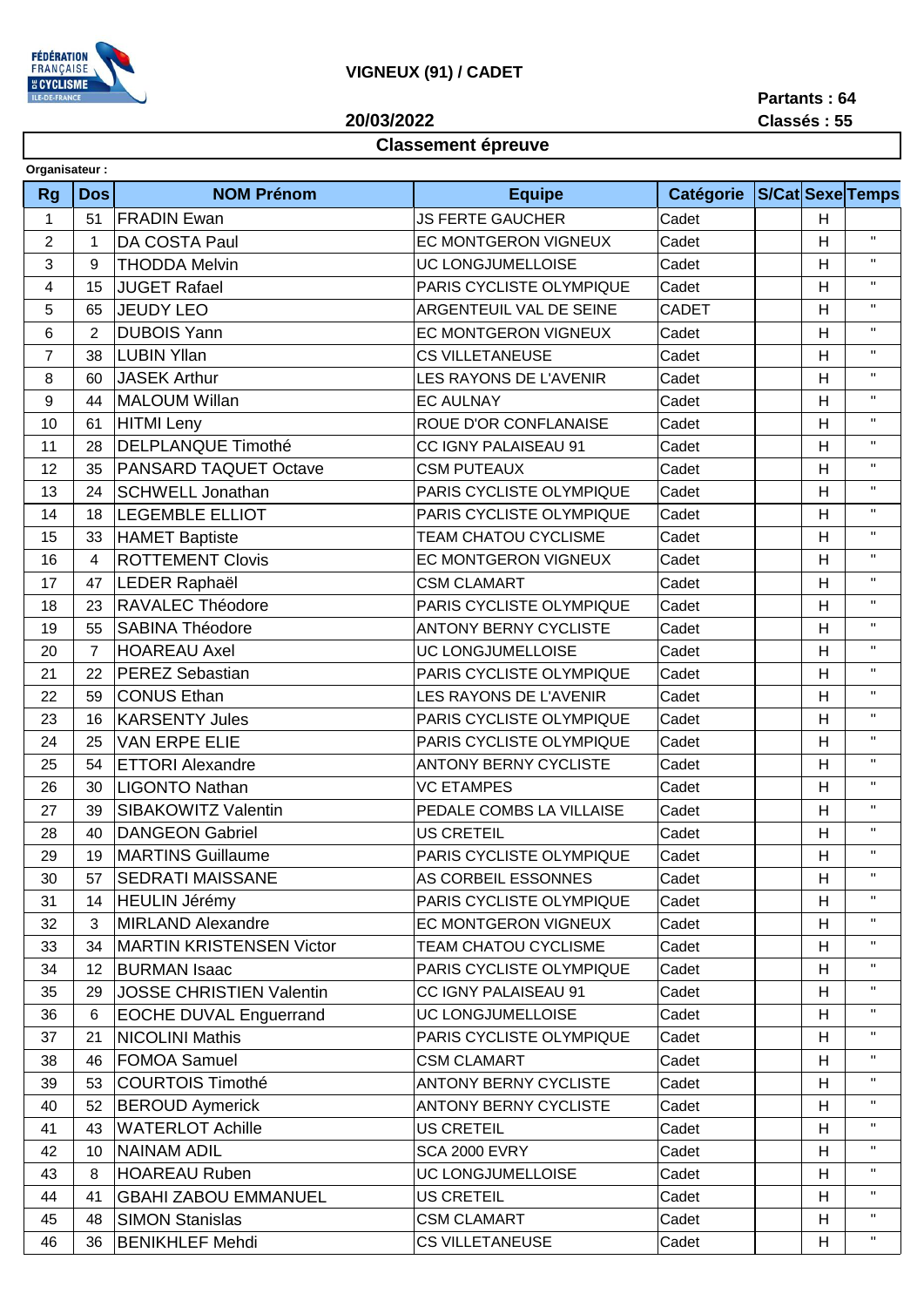

## **VIGNEUX (91) / CADET**

**20/03/2022**

## **Partants : 64 Classés : 55**

## **Classement épreuve**

| <b>S/Cat Sexe Temps</b><br><b>NOM Prénom</b><br><b>Catégorie</b><br><b>Rg</b><br><b>Dos</b><br><b>Equipe</b><br><b>FRADIN Ewan</b><br><b>JS FERTE GAUCHER</b><br>Cadet<br>$\mathbf{1}$<br>51<br>H<br>$\mathbf{H}$<br>$\overline{2}$<br>DA COSTA Paul<br>EC MONTGERON VIGNEUX<br>Cadet<br>Н<br>1<br>$\mathbf H$<br><b>THODDA Melvin</b><br>Cadet<br>3<br>9<br><b>UC LONGJUMELLOISE</b><br>H<br>$\mathbf H$<br><b>JUGET Rafael</b><br>H<br>4<br>15<br>PARIS CYCLISTE OLYMPIQUE<br>Cadet<br>$\mathbf{H}$<br><b>JEUDY LEO</b><br>5<br>ARGENTEUIL VAL DE SEINE<br><b>CADET</b><br>H<br>65<br>$\mathbf{H}$<br><b>DUBOIS Yann</b><br>$\overline{2}$<br>6<br><b>EC MONTGERON VIGNEUX</b><br>Cadet<br>H<br>$\mathbf H$<br><b>LUBIN Yllan</b><br>7<br>38<br><b>CS VILLETANEUSE</b><br>Cadet<br>н<br>$\mathbf H$<br><b>JASEK Arthur</b><br>Cadet<br>H<br>8<br>60<br><b>LES RAYONS DE L'AVENIR</b><br>$\mathbf{H}$<br>9<br>H<br>44<br><b>MALOUM Willan</b><br><b>EC AULNAY</b><br>Cadet<br>$\mathbf H$<br><b>HITMI</b> Leny<br>ROUE D'OR CONFLANAISE<br>Cadet<br>H<br>10<br>61<br>$\mathbf{H}$<br><b>DELPLANQUE Timothé</b><br>28<br>Cadet<br>н<br>11<br>CC IGNY PALAISEAU 91<br>$\mathbf H$<br>12<br>PANSARD TAQUET Octave<br>Cadet<br>35<br><b>CSM PUTEAUX</b><br>H<br>$\mathbf{H}$<br>H<br>13<br>24<br><b>SCHWELL Jonathan</b><br>PARIS CYCLISTE OLYMPIQUE<br>Cadet<br>$\mathbf{H}$<br>14<br>18<br><b>LEGEMBLE ELLIOT</b><br>PARIS CYCLISTE OLYMPIQUE<br>Cadet<br>H<br>$\mathbf H$<br>Cadet<br>15<br>33<br><b>HAMET Baptiste</b><br><b>TEAM CHATOU CYCLISME</b><br>H<br>$\mathbf H$<br><b>ROTTEMENT Clovis</b><br>16<br><b>EC MONTGERON VIGNEUX</b><br>Cadet<br>H<br>$\overline{4}$<br>$\mathbf{H}$<br>LEDER Raphaël<br><b>CSM CLAMART</b><br>Cadet<br>H<br>17<br>47<br>$\mathbf H$<br>RAVALEC Théodore<br>H<br>18<br>23<br>PARIS CYCLISTE OLYMPIQUE<br>Cadet<br>$\mathbf H$<br><b>SABINA Théodore</b><br>Cadet<br>19<br>55<br><b>ANTONY BERNY CYCLISTE</b><br>H<br>$\mathbf{H}$<br>$\overline{7}$<br><b>HOAREAU Axel</b><br>UC LONGJUMELLOISE<br>Cadet<br>H<br>20<br>$\mathbf H$<br><b>PEREZ Sebastian</b><br>PARIS CYCLISTE OLYMPIQUE<br>Cadet<br>21<br>22<br>H<br>$\mathbf{H}$<br>22<br>59<br><b>CONUS Ethan</b><br>H<br>LES RAYONS DE L'AVENIR<br>Cadet<br>$\mathbf{H}$<br>23<br><b>KARSENTY Jules</b><br>16<br>PARIS CYCLISTE OLYMPIQUE<br>Cadet<br>H<br>$\mathbf H$<br><b>VAN ERPE ELIE</b><br>Cadet<br>24<br>25<br>PARIS CYCLISTE OLYMPIQUE<br>H<br>$\mathbf H$<br><b>ETTORI Alexandre</b><br>25<br>54<br><b>ANTONY BERNY CYCLISTE</b><br>Cadet<br>H<br>$\mathbf H$<br><b>LIGONTO Nathan</b><br><b>VC ETAMPES</b><br>Cadet<br>H<br>26<br>30<br>$\mathbf{H}$<br>27<br>H<br>39<br>SIBAKOWITZ Valentin<br>PEDALE COMBS LA VILLAISE<br>Cadet<br>$\mathbf{H}$<br><b>US CRETEIL</b><br>28<br><b>DANGEON Gabriel</b><br>Cadet<br>н<br>40<br>$\mathbf{H}$<br>29<br><b>MARTINS Guillaume</b><br>PARIS CYCLISTE OLYMPIQUE<br>H<br>19<br>Cadet<br>$\mathbf{H}$<br><b>SEDRATI MAISSANE</b><br>Cadet<br>30<br>AS CORBEIL ESSONNES<br>н<br>57<br>$\mathbf{H}$<br>31<br>PARIS CYCLISTE OLYMPIQUE<br>Cadet<br>H<br>14<br><b>HEULIN Jérémy</b><br>$\mathbf{H}$<br><b>MIRLAND Alexandre</b><br>EC MONTGERON VIGNEUX<br>32<br>3<br>Cadet<br>н<br>Η.<br>Cadet<br>33<br>34<br><b>MARTIN KRISTENSEN Victor</b><br>TEAM CHATOU CYCLISME<br>H<br>$\mathbf{H}$<br>34<br><b>BURMAN Isaac</b><br>PARIS CYCLISTE OLYMPIQUE<br>H<br>12<br>Cadet<br>$\mathbf H$<br><b>JOSSE CHRISTIEN Valentin</b><br>Cadet<br>CC IGNY PALAISEAU 91<br>H<br>35<br>29<br>$\mathbf H$<br><b>EOCHE DUVAL Enguerrand</b><br>UC LONGJUMELLOISE<br>н<br>36<br>Cadet<br>6<br>$\mathbf H$<br><b>NICOLINI Mathis</b><br>PARIS CYCLISTE OLYMPIQUE<br>21<br>Cadet<br>37<br>н<br>$\mathbf{H}$<br><b>FOMOA Samuel</b><br><b>CSM CLAMART</b><br>н<br>38<br>46<br>Cadet<br>$\mathbf{H}$<br><b>COURTOIS Timothé</b><br><b>ANTONY BERNY CYCLISTE</b><br>39<br>53<br>Cadet<br>н<br>$\mathbf H$<br><b>BEROUD Aymerick</b><br>Cadet<br>H<br>40<br>52<br><b>ANTONY BERNY CYCLISTE</b><br>$\mathbf{H}$<br><b>WATERLOT Achille</b><br><b>US CRETEIL</b><br>41<br>43<br>Cadet<br>н<br><b>NAINAM ADIL</b><br>Η.<br>Cadet<br><b>SCA 2000 EVRY</b><br>H<br>42<br>10<br><b>HOAREAU Ruben</b><br>$\mathbf{H}$<br>UC LONGJUMELLOISE<br>43<br>Cadet<br>н<br>8<br><b>GBAHI ZABOU EMMANUEL</b><br>$\mathbf H$<br><b>US CRETEIL</b><br>Cadet<br>41<br>H<br>44<br><b>SIMON Stanislas</b><br>$\mathbf{H}$<br><b>CSM CLAMART</b><br>Cadet<br>45<br>48<br>н<br>$\mathbf H$ | Organisateur: |    |                        |                        |       |   |  |
|--------------------------------------------------------------------------------------------------------------------------------------------------------------------------------------------------------------------------------------------------------------------------------------------------------------------------------------------------------------------------------------------------------------------------------------------------------------------------------------------------------------------------------------------------------------------------------------------------------------------------------------------------------------------------------------------------------------------------------------------------------------------------------------------------------------------------------------------------------------------------------------------------------------------------------------------------------------------------------------------------------------------------------------------------------------------------------------------------------------------------------------------------------------------------------------------------------------------------------------------------------------------------------------------------------------------------------------------------------------------------------------------------------------------------------------------------------------------------------------------------------------------------------------------------------------------------------------------------------------------------------------------------------------------------------------------------------------------------------------------------------------------------------------------------------------------------------------------------------------------------------------------------------------------------------------------------------------------------------------------------------------------------------------------------------------------------------------------------------------------------------------------------------------------------------------------------------------------------------------------------------------------------------------------------------------------------------------------------------------------------------------------------------------------------------------------------------------------------------------------------------------------------------------------------------------------------------------------------------------------------------------------------------------------------------------------------------------------------------------------------------------------------------------------------------------------------------------------------------------------------------------------------------------------------------------------------------------------------------------------------------------------------------------------------------------------------------------------------------------------------------------------------------------------------------------------------------------------------------------------------------------------------------------------------------------------------------------------------------------------------------------------------------------------------------------------------------------------------------------------------------------------------------------------------------------------------------------------------------------------------------------------------------------------------------------------------------------------------------------------------------------------------------------------------------------------------------------------------------------------------------------------------------------------------------------------------------------------------------------------------------------------------------------------------------------------------------------------------------------------------------------------------------------------------------------------------------------------------------------------------------------------------------------------------------------------------------------------------------------------------------------------------------------------------------------------------------------------------------------|---------------|----|------------------------|------------------------|-------|---|--|
|                                                                                                                                                                                                                                                                                                                                                                                                                                                                                                                                                                                                                                                                                                                                                                                                                                                                                                                                                                                                                                                                                                                                                                                                                                                                                                                                                                                                                                                                                                                                                                                                                                                                                                                                                                                                                                                                                                                                                                                                                                                                                                                                                                                                                                                                                                                                                                                                                                                                                                                                                                                                                                                                                                                                                                                                                                                                                                                                                                                                                                                                                                                                                                                                                                                                                                                                                                                                                                                                                                                                                                                                                                                                                                                                                                                                                                                                                                                                                                                                                                                                                                                                                                                                                                                                                                                                                                                                                                                                                      |               |    |                        |                        |       |   |  |
|                                                                                                                                                                                                                                                                                                                                                                                                                                                                                                                                                                                                                                                                                                                                                                                                                                                                                                                                                                                                                                                                                                                                                                                                                                                                                                                                                                                                                                                                                                                                                                                                                                                                                                                                                                                                                                                                                                                                                                                                                                                                                                                                                                                                                                                                                                                                                                                                                                                                                                                                                                                                                                                                                                                                                                                                                                                                                                                                                                                                                                                                                                                                                                                                                                                                                                                                                                                                                                                                                                                                                                                                                                                                                                                                                                                                                                                                                                                                                                                                                                                                                                                                                                                                                                                                                                                                                                                                                                                                                      |               |    |                        |                        |       |   |  |
|                                                                                                                                                                                                                                                                                                                                                                                                                                                                                                                                                                                                                                                                                                                                                                                                                                                                                                                                                                                                                                                                                                                                                                                                                                                                                                                                                                                                                                                                                                                                                                                                                                                                                                                                                                                                                                                                                                                                                                                                                                                                                                                                                                                                                                                                                                                                                                                                                                                                                                                                                                                                                                                                                                                                                                                                                                                                                                                                                                                                                                                                                                                                                                                                                                                                                                                                                                                                                                                                                                                                                                                                                                                                                                                                                                                                                                                                                                                                                                                                                                                                                                                                                                                                                                                                                                                                                                                                                                                                                      |               |    |                        |                        |       |   |  |
|                                                                                                                                                                                                                                                                                                                                                                                                                                                                                                                                                                                                                                                                                                                                                                                                                                                                                                                                                                                                                                                                                                                                                                                                                                                                                                                                                                                                                                                                                                                                                                                                                                                                                                                                                                                                                                                                                                                                                                                                                                                                                                                                                                                                                                                                                                                                                                                                                                                                                                                                                                                                                                                                                                                                                                                                                                                                                                                                                                                                                                                                                                                                                                                                                                                                                                                                                                                                                                                                                                                                                                                                                                                                                                                                                                                                                                                                                                                                                                                                                                                                                                                                                                                                                                                                                                                                                                                                                                                                                      |               |    |                        |                        |       |   |  |
|                                                                                                                                                                                                                                                                                                                                                                                                                                                                                                                                                                                                                                                                                                                                                                                                                                                                                                                                                                                                                                                                                                                                                                                                                                                                                                                                                                                                                                                                                                                                                                                                                                                                                                                                                                                                                                                                                                                                                                                                                                                                                                                                                                                                                                                                                                                                                                                                                                                                                                                                                                                                                                                                                                                                                                                                                                                                                                                                                                                                                                                                                                                                                                                                                                                                                                                                                                                                                                                                                                                                                                                                                                                                                                                                                                                                                                                                                                                                                                                                                                                                                                                                                                                                                                                                                                                                                                                                                                                                                      |               |    |                        |                        |       |   |  |
|                                                                                                                                                                                                                                                                                                                                                                                                                                                                                                                                                                                                                                                                                                                                                                                                                                                                                                                                                                                                                                                                                                                                                                                                                                                                                                                                                                                                                                                                                                                                                                                                                                                                                                                                                                                                                                                                                                                                                                                                                                                                                                                                                                                                                                                                                                                                                                                                                                                                                                                                                                                                                                                                                                                                                                                                                                                                                                                                                                                                                                                                                                                                                                                                                                                                                                                                                                                                                                                                                                                                                                                                                                                                                                                                                                                                                                                                                                                                                                                                                                                                                                                                                                                                                                                                                                                                                                                                                                                                                      |               |    |                        |                        |       |   |  |
|                                                                                                                                                                                                                                                                                                                                                                                                                                                                                                                                                                                                                                                                                                                                                                                                                                                                                                                                                                                                                                                                                                                                                                                                                                                                                                                                                                                                                                                                                                                                                                                                                                                                                                                                                                                                                                                                                                                                                                                                                                                                                                                                                                                                                                                                                                                                                                                                                                                                                                                                                                                                                                                                                                                                                                                                                                                                                                                                                                                                                                                                                                                                                                                                                                                                                                                                                                                                                                                                                                                                                                                                                                                                                                                                                                                                                                                                                                                                                                                                                                                                                                                                                                                                                                                                                                                                                                                                                                                                                      |               |    |                        |                        |       |   |  |
|                                                                                                                                                                                                                                                                                                                                                                                                                                                                                                                                                                                                                                                                                                                                                                                                                                                                                                                                                                                                                                                                                                                                                                                                                                                                                                                                                                                                                                                                                                                                                                                                                                                                                                                                                                                                                                                                                                                                                                                                                                                                                                                                                                                                                                                                                                                                                                                                                                                                                                                                                                                                                                                                                                                                                                                                                                                                                                                                                                                                                                                                                                                                                                                                                                                                                                                                                                                                                                                                                                                                                                                                                                                                                                                                                                                                                                                                                                                                                                                                                                                                                                                                                                                                                                                                                                                                                                                                                                                                                      |               |    |                        |                        |       |   |  |
|                                                                                                                                                                                                                                                                                                                                                                                                                                                                                                                                                                                                                                                                                                                                                                                                                                                                                                                                                                                                                                                                                                                                                                                                                                                                                                                                                                                                                                                                                                                                                                                                                                                                                                                                                                                                                                                                                                                                                                                                                                                                                                                                                                                                                                                                                                                                                                                                                                                                                                                                                                                                                                                                                                                                                                                                                                                                                                                                                                                                                                                                                                                                                                                                                                                                                                                                                                                                                                                                                                                                                                                                                                                                                                                                                                                                                                                                                                                                                                                                                                                                                                                                                                                                                                                                                                                                                                                                                                                                                      |               |    |                        |                        |       |   |  |
|                                                                                                                                                                                                                                                                                                                                                                                                                                                                                                                                                                                                                                                                                                                                                                                                                                                                                                                                                                                                                                                                                                                                                                                                                                                                                                                                                                                                                                                                                                                                                                                                                                                                                                                                                                                                                                                                                                                                                                                                                                                                                                                                                                                                                                                                                                                                                                                                                                                                                                                                                                                                                                                                                                                                                                                                                                                                                                                                                                                                                                                                                                                                                                                                                                                                                                                                                                                                                                                                                                                                                                                                                                                                                                                                                                                                                                                                                                                                                                                                                                                                                                                                                                                                                                                                                                                                                                                                                                                                                      |               |    |                        |                        |       |   |  |
|                                                                                                                                                                                                                                                                                                                                                                                                                                                                                                                                                                                                                                                                                                                                                                                                                                                                                                                                                                                                                                                                                                                                                                                                                                                                                                                                                                                                                                                                                                                                                                                                                                                                                                                                                                                                                                                                                                                                                                                                                                                                                                                                                                                                                                                                                                                                                                                                                                                                                                                                                                                                                                                                                                                                                                                                                                                                                                                                                                                                                                                                                                                                                                                                                                                                                                                                                                                                                                                                                                                                                                                                                                                                                                                                                                                                                                                                                                                                                                                                                                                                                                                                                                                                                                                                                                                                                                                                                                                                                      |               |    |                        |                        |       |   |  |
|                                                                                                                                                                                                                                                                                                                                                                                                                                                                                                                                                                                                                                                                                                                                                                                                                                                                                                                                                                                                                                                                                                                                                                                                                                                                                                                                                                                                                                                                                                                                                                                                                                                                                                                                                                                                                                                                                                                                                                                                                                                                                                                                                                                                                                                                                                                                                                                                                                                                                                                                                                                                                                                                                                                                                                                                                                                                                                                                                                                                                                                                                                                                                                                                                                                                                                                                                                                                                                                                                                                                                                                                                                                                                                                                                                                                                                                                                                                                                                                                                                                                                                                                                                                                                                                                                                                                                                                                                                                                                      |               |    |                        |                        |       |   |  |
|                                                                                                                                                                                                                                                                                                                                                                                                                                                                                                                                                                                                                                                                                                                                                                                                                                                                                                                                                                                                                                                                                                                                                                                                                                                                                                                                                                                                                                                                                                                                                                                                                                                                                                                                                                                                                                                                                                                                                                                                                                                                                                                                                                                                                                                                                                                                                                                                                                                                                                                                                                                                                                                                                                                                                                                                                                                                                                                                                                                                                                                                                                                                                                                                                                                                                                                                                                                                                                                                                                                                                                                                                                                                                                                                                                                                                                                                                                                                                                                                                                                                                                                                                                                                                                                                                                                                                                                                                                                                                      |               |    |                        |                        |       |   |  |
|                                                                                                                                                                                                                                                                                                                                                                                                                                                                                                                                                                                                                                                                                                                                                                                                                                                                                                                                                                                                                                                                                                                                                                                                                                                                                                                                                                                                                                                                                                                                                                                                                                                                                                                                                                                                                                                                                                                                                                                                                                                                                                                                                                                                                                                                                                                                                                                                                                                                                                                                                                                                                                                                                                                                                                                                                                                                                                                                                                                                                                                                                                                                                                                                                                                                                                                                                                                                                                                                                                                                                                                                                                                                                                                                                                                                                                                                                                                                                                                                                                                                                                                                                                                                                                                                                                                                                                                                                                                                                      |               |    |                        |                        |       |   |  |
|                                                                                                                                                                                                                                                                                                                                                                                                                                                                                                                                                                                                                                                                                                                                                                                                                                                                                                                                                                                                                                                                                                                                                                                                                                                                                                                                                                                                                                                                                                                                                                                                                                                                                                                                                                                                                                                                                                                                                                                                                                                                                                                                                                                                                                                                                                                                                                                                                                                                                                                                                                                                                                                                                                                                                                                                                                                                                                                                                                                                                                                                                                                                                                                                                                                                                                                                                                                                                                                                                                                                                                                                                                                                                                                                                                                                                                                                                                                                                                                                                                                                                                                                                                                                                                                                                                                                                                                                                                                                                      |               |    |                        |                        |       |   |  |
|                                                                                                                                                                                                                                                                                                                                                                                                                                                                                                                                                                                                                                                                                                                                                                                                                                                                                                                                                                                                                                                                                                                                                                                                                                                                                                                                                                                                                                                                                                                                                                                                                                                                                                                                                                                                                                                                                                                                                                                                                                                                                                                                                                                                                                                                                                                                                                                                                                                                                                                                                                                                                                                                                                                                                                                                                                                                                                                                                                                                                                                                                                                                                                                                                                                                                                                                                                                                                                                                                                                                                                                                                                                                                                                                                                                                                                                                                                                                                                                                                                                                                                                                                                                                                                                                                                                                                                                                                                                                                      |               |    |                        |                        |       |   |  |
|                                                                                                                                                                                                                                                                                                                                                                                                                                                                                                                                                                                                                                                                                                                                                                                                                                                                                                                                                                                                                                                                                                                                                                                                                                                                                                                                                                                                                                                                                                                                                                                                                                                                                                                                                                                                                                                                                                                                                                                                                                                                                                                                                                                                                                                                                                                                                                                                                                                                                                                                                                                                                                                                                                                                                                                                                                                                                                                                                                                                                                                                                                                                                                                                                                                                                                                                                                                                                                                                                                                                                                                                                                                                                                                                                                                                                                                                                                                                                                                                                                                                                                                                                                                                                                                                                                                                                                                                                                                                                      |               |    |                        |                        |       |   |  |
|                                                                                                                                                                                                                                                                                                                                                                                                                                                                                                                                                                                                                                                                                                                                                                                                                                                                                                                                                                                                                                                                                                                                                                                                                                                                                                                                                                                                                                                                                                                                                                                                                                                                                                                                                                                                                                                                                                                                                                                                                                                                                                                                                                                                                                                                                                                                                                                                                                                                                                                                                                                                                                                                                                                                                                                                                                                                                                                                                                                                                                                                                                                                                                                                                                                                                                                                                                                                                                                                                                                                                                                                                                                                                                                                                                                                                                                                                                                                                                                                                                                                                                                                                                                                                                                                                                                                                                                                                                                                                      |               |    |                        |                        |       |   |  |
|                                                                                                                                                                                                                                                                                                                                                                                                                                                                                                                                                                                                                                                                                                                                                                                                                                                                                                                                                                                                                                                                                                                                                                                                                                                                                                                                                                                                                                                                                                                                                                                                                                                                                                                                                                                                                                                                                                                                                                                                                                                                                                                                                                                                                                                                                                                                                                                                                                                                                                                                                                                                                                                                                                                                                                                                                                                                                                                                                                                                                                                                                                                                                                                                                                                                                                                                                                                                                                                                                                                                                                                                                                                                                                                                                                                                                                                                                                                                                                                                                                                                                                                                                                                                                                                                                                                                                                                                                                                                                      |               |    |                        |                        |       |   |  |
|                                                                                                                                                                                                                                                                                                                                                                                                                                                                                                                                                                                                                                                                                                                                                                                                                                                                                                                                                                                                                                                                                                                                                                                                                                                                                                                                                                                                                                                                                                                                                                                                                                                                                                                                                                                                                                                                                                                                                                                                                                                                                                                                                                                                                                                                                                                                                                                                                                                                                                                                                                                                                                                                                                                                                                                                                                                                                                                                                                                                                                                                                                                                                                                                                                                                                                                                                                                                                                                                                                                                                                                                                                                                                                                                                                                                                                                                                                                                                                                                                                                                                                                                                                                                                                                                                                                                                                                                                                                                                      |               |    |                        |                        |       |   |  |
|                                                                                                                                                                                                                                                                                                                                                                                                                                                                                                                                                                                                                                                                                                                                                                                                                                                                                                                                                                                                                                                                                                                                                                                                                                                                                                                                                                                                                                                                                                                                                                                                                                                                                                                                                                                                                                                                                                                                                                                                                                                                                                                                                                                                                                                                                                                                                                                                                                                                                                                                                                                                                                                                                                                                                                                                                                                                                                                                                                                                                                                                                                                                                                                                                                                                                                                                                                                                                                                                                                                                                                                                                                                                                                                                                                                                                                                                                                                                                                                                                                                                                                                                                                                                                                                                                                                                                                                                                                                                                      |               |    |                        |                        |       |   |  |
|                                                                                                                                                                                                                                                                                                                                                                                                                                                                                                                                                                                                                                                                                                                                                                                                                                                                                                                                                                                                                                                                                                                                                                                                                                                                                                                                                                                                                                                                                                                                                                                                                                                                                                                                                                                                                                                                                                                                                                                                                                                                                                                                                                                                                                                                                                                                                                                                                                                                                                                                                                                                                                                                                                                                                                                                                                                                                                                                                                                                                                                                                                                                                                                                                                                                                                                                                                                                                                                                                                                                                                                                                                                                                                                                                                                                                                                                                                                                                                                                                                                                                                                                                                                                                                                                                                                                                                                                                                                                                      |               |    |                        |                        |       |   |  |
|                                                                                                                                                                                                                                                                                                                                                                                                                                                                                                                                                                                                                                                                                                                                                                                                                                                                                                                                                                                                                                                                                                                                                                                                                                                                                                                                                                                                                                                                                                                                                                                                                                                                                                                                                                                                                                                                                                                                                                                                                                                                                                                                                                                                                                                                                                                                                                                                                                                                                                                                                                                                                                                                                                                                                                                                                                                                                                                                                                                                                                                                                                                                                                                                                                                                                                                                                                                                                                                                                                                                                                                                                                                                                                                                                                                                                                                                                                                                                                                                                                                                                                                                                                                                                                                                                                                                                                                                                                                                                      |               |    |                        |                        |       |   |  |
|                                                                                                                                                                                                                                                                                                                                                                                                                                                                                                                                                                                                                                                                                                                                                                                                                                                                                                                                                                                                                                                                                                                                                                                                                                                                                                                                                                                                                                                                                                                                                                                                                                                                                                                                                                                                                                                                                                                                                                                                                                                                                                                                                                                                                                                                                                                                                                                                                                                                                                                                                                                                                                                                                                                                                                                                                                                                                                                                                                                                                                                                                                                                                                                                                                                                                                                                                                                                                                                                                                                                                                                                                                                                                                                                                                                                                                                                                                                                                                                                                                                                                                                                                                                                                                                                                                                                                                                                                                                                                      |               |    |                        |                        |       |   |  |
|                                                                                                                                                                                                                                                                                                                                                                                                                                                                                                                                                                                                                                                                                                                                                                                                                                                                                                                                                                                                                                                                                                                                                                                                                                                                                                                                                                                                                                                                                                                                                                                                                                                                                                                                                                                                                                                                                                                                                                                                                                                                                                                                                                                                                                                                                                                                                                                                                                                                                                                                                                                                                                                                                                                                                                                                                                                                                                                                                                                                                                                                                                                                                                                                                                                                                                                                                                                                                                                                                                                                                                                                                                                                                                                                                                                                                                                                                                                                                                                                                                                                                                                                                                                                                                                                                                                                                                                                                                                                                      |               |    |                        |                        |       |   |  |
|                                                                                                                                                                                                                                                                                                                                                                                                                                                                                                                                                                                                                                                                                                                                                                                                                                                                                                                                                                                                                                                                                                                                                                                                                                                                                                                                                                                                                                                                                                                                                                                                                                                                                                                                                                                                                                                                                                                                                                                                                                                                                                                                                                                                                                                                                                                                                                                                                                                                                                                                                                                                                                                                                                                                                                                                                                                                                                                                                                                                                                                                                                                                                                                                                                                                                                                                                                                                                                                                                                                                                                                                                                                                                                                                                                                                                                                                                                                                                                                                                                                                                                                                                                                                                                                                                                                                                                                                                                                                                      |               |    |                        |                        |       |   |  |
|                                                                                                                                                                                                                                                                                                                                                                                                                                                                                                                                                                                                                                                                                                                                                                                                                                                                                                                                                                                                                                                                                                                                                                                                                                                                                                                                                                                                                                                                                                                                                                                                                                                                                                                                                                                                                                                                                                                                                                                                                                                                                                                                                                                                                                                                                                                                                                                                                                                                                                                                                                                                                                                                                                                                                                                                                                                                                                                                                                                                                                                                                                                                                                                                                                                                                                                                                                                                                                                                                                                                                                                                                                                                                                                                                                                                                                                                                                                                                                                                                                                                                                                                                                                                                                                                                                                                                                                                                                                                                      |               |    |                        |                        |       |   |  |
|                                                                                                                                                                                                                                                                                                                                                                                                                                                                                                                                                                                                                                                                                                                                                                                                                                                                                                                                                                                                                                                                                                                                                                                                                                                                                                                                                                                                                                                                                                                                                                                                                                                                                                                                                                                                                                                                                                                                                                                                                                                                                                                                                                                                                                                                                                                                                                                                                                                                                                                                                                                                                                                                                                                                                                                                                                                                                                                                                                                                                                                                                                                                                                                                                                                                                                                                                                                                                                                                                                                                                                                                                                                                                                                                                                                                                                                                                                                                                                                                                                                                                                                                                                                                                                                                                                                                                                                                                                                                                      |               |    |                        |                        |       |   |  |
|                                                                                                                                                                                                                                                                                                                                                                                                                                                                                                                                                                                                                                                                                                                                                                                                                                                                                                                                                                                                                                                                                                                                                                                                                                                                                                                                                                                                                                                                                                                                                                                                                                                                                                                                                                                                                                                                                                                                                                                                                                                                                                                                                                                                                                                                                                                                                                                                                                                                                                                                                                                                                                                                                                                                                                                                                                                                                                                                                                                                                                                                                                                                                                                                                                                                                                                                                                                                                                                                                                                                                                                                                                                                                                                                                                                                                                                                                                                                                                                                                                                                                                                                                                                                                                                                                                                                                                                                                                                                                      |               |    |                        |                        |       |   |  |
|                                                                                                                                                                                                                                                                                                                                                                                                                                                                                                                                                                                                                                                                                                                                                                                                                                                                                                                                                                                                                                                                                                                                                                                                                                                                                                                                                                                                                                                                                                                                                                                                                                                                                                                                                                                                                                                                                                                                                                                                                                                                                                                                                                                                                                                                                                                                                                                                                                                                                                                                                                                                                                                                                                                                                                                                                                                                                                                                                                                                                                                                                                                                                                                                                                                                                                                                                                                                                                                                                                                                                                                                                                                                                                                                                                                                                                                                                                                                                                                                                                                                                                                                                                                                                                                                                                                                                                                                                                                                                      |               |    |                        |                        |       |   |  |
|                                                                                                                                                                                                                                                                                                                                                                                                                                                                                                                                                                                                                                                                                                                                                                                                                                                                                                                                                                                                                                                                                                                                                                                                                                                                                                                                                                                                                                                                                                                                                                                                                                                                                                                                                                                                                                                                                                                                                                                                                                                                                                                                                                                                                                                                                                                                                                                                                                                                                                                                                                                                                                                                                                                                                                                                                                                                                                                                                                                                                                                                                                                                                                                                                                                                                                                                                                                                                                                                                                                                                                                                                                                                                                                                                                                                                                                                                                                                                                                                                                                                                                                                                                                                                                                                                                                                                                                                                                                                                      |               |    |                        |                        |       |   |  |
|                                                                                                                                                                                                                                                                                                                                                                                                                                                                                                                                                                                                                                                                                                                                                                                                                                                                                                                                                                                                                                                                                                                                                                                                                                                                                                                                                                                                                                                                                                                                                                                                                                                                                                                                                                                                                                                                                                                                                                                                                                                                                                                                                                                                                                                                                                                                                                                                                                                                                                                                                                                                                                                                                                                                                                                                                                                                                                                                                                                                                                                                                                                                                                                                                                                                                                                                                                                                                                                                                                                                                                                                                                                                                                                                                                                                                                                                                                                                                                                                                                                                                                                                                                                                                                                                                                                                                                                                                                                                                      |               |    |                        |                        |       |   |  |
|                                                                                                                                                                                                                                                                                                                                                                                                                                                                                                                                                                                                                                                                                                                                                                                                                                                                                                                                                                                                                                                                                                                                                                                                                                                                                                                                                                                                                                                                                                                                                                                                                                                                                                                                                                                                                                                                                                                                                                                                                                                                                                                                                                                                                                                                                                                                                                                                                                                                                                                                                                                                                                                                                                                                                                                                                                                                                                                                                                                                                                                                                                                                                                                                                                                                                                                                                                                                                                                                                                                                                                                                                                                                                                                                                                                                                                                                                                                                                                                                                                                                                                                                                                                                                                                                                                                                                                                                                                                                                      |               |    |                        |                        |       |   |  |
|                                                                                                                                                                                                                                                                                                                                                                                                                                                                                                                                                                                                                                                                                                                                                                                                                                                                                                                                                                                                                                                                                                                                                                                                                                                                                                                                                                                                                                                                                                                                                                                                                                                                                                                                                                                                                                                                                                                                                                                                                                                                                                                                                                                                                                                                                                                                                                                                                                                                                                                                                                                                                                                                                                                                                                                                                                                                                                                                                                                                                                                                                                                                                                                                                                                                                                                                                                                                                                                                                                                                                                                                                                                                                                                                                                                                                                                                                                                                                                                                                                                                                                                                                                                                                                                                                                                                                                                                                                                                                      |               |    |                        |                        |       |   |  |
|                                                                                                                                                                                                                                                                                                                                                                                                                                                                                                                                                                                                                                                                                                                                                                                                                                                                                                                                                                                                                                                                                                                                                                                                                                                                                                                                                                                                                                                                                                                                                                                                                                                                                                                                                                                                                                                                                                                                                                                                                                                                                                                                                                                                                                                                                                                                                                                                                                                                                                                                                                                                                                                                                                                                                                                                                                                                                                                                                                                                                                                                                                                                                                                                                                                                                                                                                                                                                                                                                                                                                                                                                                                                                                                                                                                                                                                                                                                                                                                                                                                                                                                                                                                                                                                                                                                                                                                                                                                                                      |               |    |                        |                        |       |   |  |
|                                                                                                                                                                                                                                                                                                                                                                                                                                                                                                                                                                                                                                                                                                                                                                                                                                                                                                                                                                                                                                                                                                                                                                                                                                                                                                                                                                                                                                                                                                                                                                                                                                                                                                                                                                                                                                                                                                                                                                                                                                                                                                                                                                                                                                                                                                                                                                                                                                                                                                                                                                                                                                                                                                                                                                                                                                                                                                                                                                                                                                                                                                                                                                                                                                                                                                                                                                                                                                                                                                                                                                                                                                                                                                                                                                                                                                                                                                                                                                                                                                                                                                                                                                                                                                                                                                                                                                                                                                                                                      |               |    |                        |                        |       |   |  |
|                                                                                                                                                                                                                                                                                                                                                                                                                                                                                                                                                                                                                                                                                                                                                                                                                                                                                                                                                                                                                                                                                                                                                                                                                                                                                                                                                                                                                                                                                                                                                                                                                                                                                                                                                                                                                                                                                                                                                                                                                                                                                                                                                                                                                                                                                                                                                                                                                                                                                                                                                                                                                                                                                                                                                                                                                                                                                                                                                                                                                                                                                                                                                                                                                                                                                                                                                                                                                                                                                                                                                                                                                                                                                                                                                                                                                                                                                                                                                                                                                                                                                                                                                                                                                                                                                                                                                                                                                                                                                      |               |    |                        |                        |       |   |  |
|                                                                                                                                                                                                                                                                                                                                                                                                                                                                                                                                                                                                                                                                                                                                                                                                                                                                                                                                                                                                                                                                                                                                                                                                                                                                                                                                                                                                                                                                                                                                                                                                                                                                                                                                                                                                                                                                                                                                                                                                                                                                                                                                                                                                                                                                                                                                                                                                                                                                                                                                                                                                                                                                                                                                                                                                                                                                                                                                                                                                                                                                                                                                                                                                                                                                                                                                                                                                                                                                                                                                                                                                                                                                                                                                                                                                                                                                                                                                                                                                                                                                                                                                                                                                                                                                                                                                                                                                                                                                                      |               |    |                        |                        |       |   |  |
|                                                                                                                                                                                                                                                                                                                                                                                                                                                                                                                                                                                                                                                                                                                                                                                                                                                                                                                                                                                                                                                                                                                                                                                                                                                                                                                                                                                                                                                                                                                                                                                                                                                                                                                                                                                                                                                                                                                                                                                                                                                                                                                                                                                                                                                                                                                                                                                                                                                                                                                                                                                                                                                                                                                                                                                                                                                                                                                                                                                                                                                                                                                                                                                                                                                                                                                                                                                                                                                                                                                                                                                                                                                                                                                                                                                                                                                                                                                                                                                                                                                                                                                                                                                                                                                                                                                                                                                                                                                                                      |               |    |                        |                        |       |   |  |
|                                                                                                                                                                                                                                                                                                                                                                                                                                                                                                                                                                                                                                                                                                                                                                                                                                                                                                                                                                                                                                                                                                                                                                                                                                                                                                                                                                                                                                                                                                                                                                                                                                                                                                                                                                                                                                                                                                                                                                                                                                                                                                                                                                                                                                                                                                                                                                                                                                                                                                                                                                                                                                                                                                                                                                                                                                                                                                                                                                                                                                                                                                                                                                                                                                                                                                                                                                                                                                                                                                                                                                                                                                                                                                                                                                                                                                                                                                                                                                                                                                                                                                                                                                                                                                                                                                                                                                                                                                                                                      |               |    |                        |                        |       |   |  |
|                                                                                                                                                                                                                                                                                                                                                                                                                                                                                                                                                                                                                                                                                                                                                                                                                                                                                                                                                                                                                                                                                                                                                                                                                                                                                                                                                                                                                                                                                                                                                                                                                                                                                                                                                                                                                                                                                                                                                                                                                                                                                                                                                                                                                                                                                                                                                                                                                                                                                                                                                                                                                                                                                                                                                                                                                                                                                                                                                                                                                                                                                                                                                                                                                                                                                                                                                                                                                                                                                                                                                                                                                                                                                                                                                                                                                                                                                                                                                                                                                                                                                                                                                                                                                                                                                                                                                                                                                                                                                      |               |    |                        |                        |       |   |  |
|                                                                                                                                                                                                                                                                                                                                                                                                                                                                                                                                                                                                                                                                                                                                                                                                                                                                                                                                                                                                                                                                                                                                                                                                                                                                                                                                                                                                                                                                                                                                                                                                                                                                                                                                                                                                                                                                                                                                                                                                                                                                                                                                                                                                                                                                                                                                                                                                                                                                                                                                                                                                                                                                                                                                                                                                                                                                                                                                                                                                                                                                                                                                                                                                                                                                                                                                                                                                                                                                                                                                                                                                                                                                                                                                                                                                                                                                                                                                                                                                                                                                                                                                                                                                                                                                                                                                                                                                                                                                                      |               |    |                        |                        |       |   |  |
|                                                                                                                                                                                                                                                                                                                                                                                                                                                                                                                                                                                                                                                                                                                                                                                                                                                                                                                                                                                                                                                                                                                                                                                                                                                                                                                                                                                                                                                                                                                                                                                                                                                                                                                                                                                                                                                                                                                                                                                                                                                                                                                                                                                                                                                                                                                                                                                                                                                                                                                                                                                                                                                                                                                                                                                                                                                                                                                                                                                                                                                                                                                                                                                                                                                                                                                                                                                                                                                                                                                                                                                                                                                                                                                                                                                                                                                                                                                                                                                                                                                                                                                                                                                                                                                                                                                                                                                                                                                                                      |               |    |                        |                        |       |   |  |
|                                                                                                                                                                                                                                                                                                                                                                                                                                                                                                                                                                                                                                                                                                                                                                                                                                                                                                                                                                                                                                                                                                                                                                                                                                                                                                                                                                                                                                                                                                                                                                                                                                                                                                                                                                                                                                                                                                                                                                                                                                                                                                                                                                                                                                                                                                                                                                                                                                                                                                                                                                                                                                                                                                                                                                                                                                                                                                                                                                                                                                                                                                                                                                                                                                                                                                                                                                                                                                                                                                                                                                                                                                                                                                                                                                                                                                                                                                                                                                                                                                                                                                                                                                                                                                                                                                                                                                                                                                                                                      |               |    |                        |                        |       |   |  |
|                                                                                                                                                                                                                                                                                                                                                                                                                                                                                                                                                                                                                                                                                                                                                                                                                                                                                                                                                                                                                                                                                                                                                                                                                                                                                                                                                                                                                                                                                                                                                                                                                                                                                                                                                                                                                                                                                                                                                                                                                                                                                                                                                                                                                                                                                                                                                                                                                                                                                                                                                                                                                                                                                                                                                                                                                                                                                                                                                                                                                                                                                                                                                                                                                                                                                                                                                                                                                                                                                                                                                                                                                                                                                                                                                                                                                                                                                                                                                                                                                                                                                                                                                                                                                                                                                                                                                                                                                                                                                      |               |    |                        |                        |       |   |  |
|                                                                                                                                                                                                                                                                                                                                                                                                                                                                                                                                                                                                                                                                                                                                                                                                                                                                                                                                                                                                                                                                                                                                                                                                                                                                                                                                                                                                                                                                                                                                                                                                                                                                                                                                                                                                                                                                                                                                                                                                                                                                                                                                                                                                                                                                                                                                                                                                                                                                                                                                                                                                                                                                                                                                                                                                                                                                                                                                                                                                                                                                                                                                                                                                                                                                                                                                                                                                                                                                                                                                                                                                                                                                                                                                                                                                                                                                                                                                                                                                                                                                                                                                                                                                                                                                                                                                                                                                                                                                                      |               |    |                        |                        |       |   |  |
|                                                                                                                                                                                                                                                                                                                                                                                                                                                                                                                                                                                                                                                                                                                                                                                                                                                                                                                                                                                                                                                                                                                                                                                                                                                                                                                                                                                                                                                                                                                                                                                                                                                                                                                                                                                                                                                                                                                                                                                                                                                                                                                                                                                                                                                                                                                                                                                                                                                                                                                                                                                                                                                                                                                                                                                                                                                                                                                                                                                                                                                                                                                                                                                                                                                                                                                                                                                                                                                                                                                                                                                                                                                                                                                                                                                                                                                                                                                                                                                                                                                                                                                                                                                                                                                                                                                                                                                                                                                                                      |               |    |                        |                        |       |   |  |
|                                                                                                                                                                                                                                                                                                                                                                                                                                                                                                                                                                                                                                                                                                                                                                                                                                                                                                                                                                                                                                                                                                                                                                                                                                                                                                                                                                                                                                                                                                                                                                                                                                                                                                                                                                                                                                                                                                                                                                                                                                                                                                                                                                                                                                                                                                                                                                                                                                                                                                                                                                                                                                                                                                                                                                                                                                                                                                                                                                                                                                                                                                                                                                                                                                                                                                                                                                                                                                                                                                                                                                                                                                                                                                                                                                                                                                                                                                                                                                                                                                                                                                                                                                                                                                                                                                                                                                                                                                                                                      | 46            | 36 | <b>BENIKHLEF Mehdi</b> | <b>CS VILLETANEUSE</b> | Cadet | H |  |